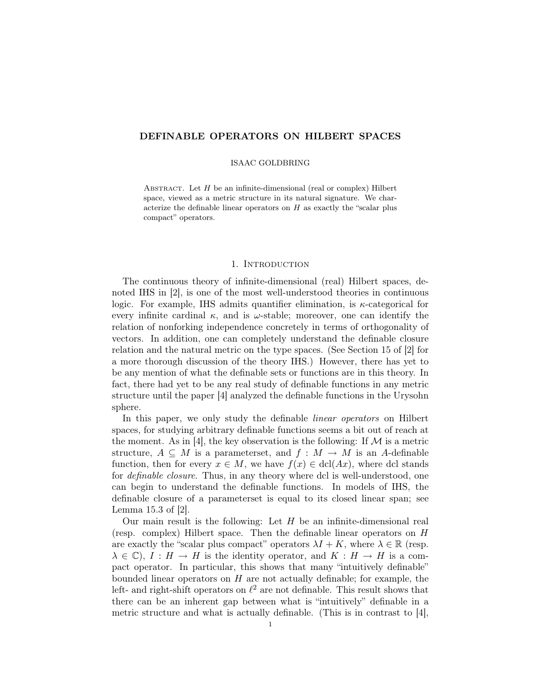# DEFINABLE OPERATORS ON HILBERT SPACES

#### ISAAC GOLDBRING

ABSTRACT. Let  $H$  be an infinite-dimensional (real or complex) Hilbert space, viewed as a metric structure in its natural signature. We characterize the definable linear operators on  $H$  as exactly the "scalar plus compact" operators.

#### 1. Introduction

The continuous theory of infinite-dimensional (real) Hilbert spaces, denoted IHS in [2], is one of the most well-understood theories in continuous logic. For example, IHS admits quantifier elimination, is  $\kappa$ -categorical for every infinite cardinal  $\kappa$ , and is  $\omega$ -stable; moreover, one can identify the relation of nonforking independence concretely in terms of orthogonality of vectors. In addition, one can completely understand the definable closure relation and the natural metric on the type spaces. (See Section 15 of [2] for a more thorough discussion of the theory IHS.) However, there has yet to be any mention of what the definable sets or functions are in this theory. In fact, there had yet to be any real study of definable functions in any metric structure until the paper [4] analyzed the definable functions in the Urysohn sphere.

In this paper, we only study the definable linear operators on Hilbert spaces, for studying arbitrary definable functions seems a bit out of reach at the moment. As in [4], the key observation is the following: If  $\mathcal M$  is a metric structure,  $A \subseteq M$  is a parameterset, and  $f : M \to M$  is an A-definable function, then for every  $x \in M$ , we have  $f(x) \in \text{dcl}(Ax)$ , where dcl stands for definable closure. Thus, in any theory where dcl is well-understood, one can begin to understand the definable functions. In models of IHS, the definable closure of a parameterset is equal to its closed linear span; see Lemma 15.3 of [2].

Our main result is the following: Let  $H$  be an infinite-dimensional real (resp. complex) Hilbert space. Then the definable linear operators on H are exactly the "scalar plus compact" operators  $\lambda I + K$ , where  $\lambda \in \mathbb{R}$  (resp.  $\lambda \in \mathbb{C}$ ,  $I : H \to H$  is the identity operator, and  $K : H \to H$  is a compact operator. In particular, this shows that many "intuitively definable" bounded linear operators on  $H$  are not actually definable; for example, the left- and right-shift operators on  $\ell^2$  are not definable. This result shows that there can be an inherent gap between what is "intuitively" definable in a metric structure and what is actually definable. (This is in contrast to [4],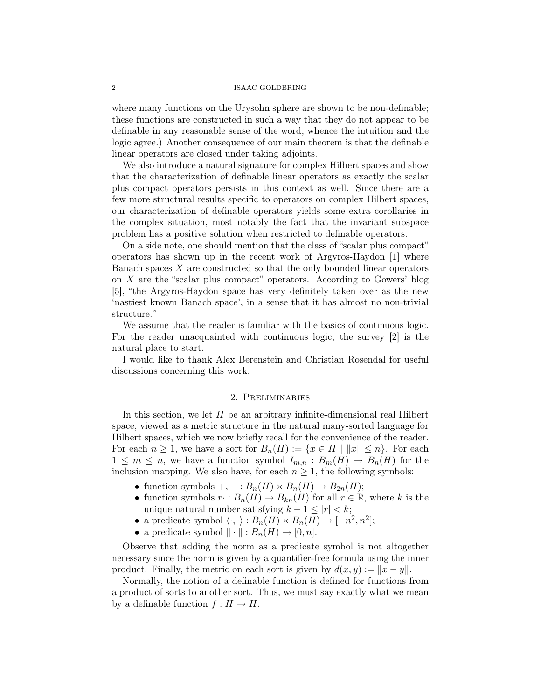where many functions on the Urysohn sphere are shown to be non-definable; these functions are constructed in such a way that they do not appear to be definable in any reasonable sense of the word, whence the intuition and the logic agree.) Another consequence of our main theorem is that the definable linear operators are closed under taking adjoints.

We also introduce a natural signature for complex Hilbert spaces and show that the characterization of definable linear operators as exactly the scalar plus compact operators persists in this context as well. Since there are a few more structural results specific to operators on complex Hilbert spaces, our characterization of definable operators yields some extra corollaries in the complex situation, most notably the fact that the invariant subspace problem has a positive solution when restricted to definable operators.

On a side note, one should mention that the class of "scalar plus compact" operators has shown up in the recent work of Argyros-Haydon [1] where Banach spaces X are constructed so that the only bounded linear operators on X are the "scalar plus compact" operators. According to Gowers' blog [5], "the Argyros-Haydon space has very definitely taken over as the new 'nastiest known Banach space', in a sense that it has almost no non-trivial structure."

We assume that the reader is familiar with the basics of continuous logic. For the reader unacquainted with continuous logic, the survey [2] is the natural place to start.

I would like to thank Alex Berenstein and Christian Rosendal for useful discussions concerning this work.

## 2. Preliminaries

In this section, we let  $H$  be an arbitrary infinite-dimensional real Hilbert space, viewed as a metric structure in the natural many-sorted language for Hilbert spaces, which we now briefly recall for the convenience of the reader. For each  $n \geq 1$ , we have a sort for  $B_n(H) := \{x \in H \mid ||x|| \leq n\}$ . For each  $1 \leq m \leq n$ , we have a function symbol  $I_{m,n} : B_m(H) \to B_n(H)$  for the inclusion mapping. We also have, for each  $n \geq 1$ , the following symbols:

- function symbols  $+,-:B_n(H)\times B_n(H)\to B_{2n}(H);$
- function symbols  $r : B_n(H) \to B_{kn}(H)$  for all  $r \in \mathbb{R}$ , where k is the unique natural number satisfying  $k - 1 \leq |r| < k$ ;
- a predicate symbol  $\langle \cdot, \cdot \rangle : B_n(H) \times B_n(H) \to [-n^2, n^2];$
- a predicate symbol  $\|\cdot\| : B_n(H) \to [0, n].$

Observe that adding the norm as a predicate symbol is not altogether necessary since the norm is given by a quantifier-free formula using the inner product. Finally, the metric on each sort is given by  $d(x, y) := ||x - y||$ .

Normally, the notion of a definable function is defined for functions from a product of sorts to another sort. Thus, we must say exactly what we mean by a definable function  $f : H \to H$ .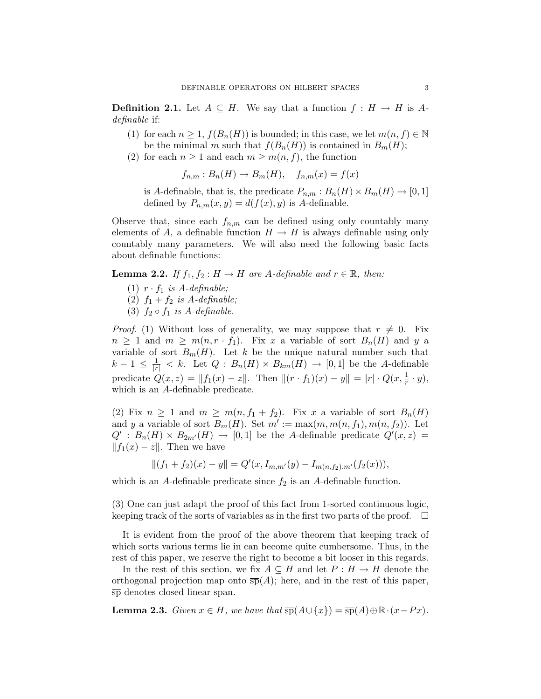**Definition 2.1.** Let  $A \subseteq H$ . We say that a function  $f : H \to H$  is Adefinable if:

- (1) for each  $n \geq 1$ ,  $f(B_n(H))$  is bounded; in this case, we let  $m(n, f) \in \mathbb{N}$ be the minimal m such that  $f(B_n(H))$  is contained in  $B_m(H)$ ;
- (2) for each  $n \geq 1$  and each  $m \geq m(n, f)$ , the function

 $f_{n,m}: B_n(H) \to B_m(H)$ ,  $f_{n,m}(x) = f(x)$ 

is A-definable, that is, the predicate  $P_{n,m}: B_n(H) \times B_m(H) \to [0,1]$ defined by  $P_{n,m}(x, y) = d(f(x), y)$  is A-definable.

Observe that, since each  $f_{n,m}$  can be defined using only countably many elements of A, a definable function  $H \to H$  is always definable using only countably many parameters. We will also need the following basic facts about definable functions:

**Lemma 2.2.** If  $f_1, f_2 : H \to H$  are A-definable and  $r \in \mathbb{R}$ , then:

- (1)  $r \cdot f_1$  is A-definable;
- (2)  $f_1 + f_2$  is A-definable;
- (3)  $f_2 \circ f_1$  is A-definable.

*Proof.* (1) Without loss of generality, we may suppose that  $r \neq 0$ . Fix  $n \geq 1$  and  $m \geq m(n, r \cdot f_1)$ . Fix x a variable of sort  $B_n(H)$  and y a variable of sort  $B_m(H)$ . Let k be the unique natural number such that  $k-1 \leq \frac{1}{|r|} < k$ . Let  $Q : B_n(H) \times B_{km}(H) \to [0,1]$  be the A-definable predicate  $Q(x, z) = ||f_1(x) - z||$ . Then  $||(r \cdot f_1)(x) - y|| = |r| \cdot Q(x, \frac{1}{r} \cdot y)$ , which is an A-definable predicate.

(2) Fix  $n \geq 1$  and  $m \geq m(n, f_1 + f_2)$ . Fix x a variable of sort  $B_n(H)$ and y a variable of sort  $B_m(H)$ . Set  $m' := \max(m, m(n, f_1), m(n, f_2))$ . Let  $Q' : B_n(H) \times B_{2m'}(H) \rightarrow [0,1]$  be the A-definable predicate  $Q'(x, z) =$  $||f_1(x) - z||$ . Then we have

$$
||(f_1+f_2)(x)-y|| = Q'(x, I_{m,m'}(y) - I_{m(n,f_2),m'}(f_2(x))),
$$

which is an A-definable predicate since  $f_2$  is an A-definable function.

(3) One can just adapt the proof of this fact from 1-sorted continuous logic, keeping track of the sorts of variables as in the first two parts of the proof.  $\Box$ 

It is evident from the proof of the above theorem that keeping track of which sorts various terms lie in can become quite cumbersome. Thus, in the rest of this paper, we reserve the right to become a bit looser in this regards.

In the rest of this section, we fix  $A \subseteq H$  and let  $P : H \to H$  denote the orthogonal projection map onto  $\overline{sp}(A)$ ; here, and in the rest of this paper, sp denotes closed linear span.

**Lemma 2.3.** Given  $x \in H$ , we have that  $\overline{sp}(A \cup \{x\}) = \overline{sp}(A) \oplus \mathbb{R} \cdot (x - Px)$ .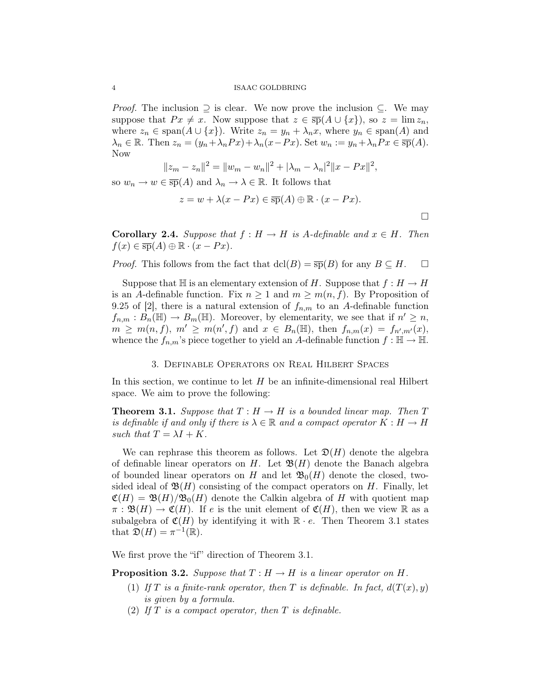*Proof.* The inclusion  $\supseteq$  is clear. We now prove the inclusion  $\subseteq$ . We may suppose that  $Px \neq x$ . Now suppose that  $z \in \overline{\text{sp}}(A \cup \{x\})$ , so  $z = \lim z_n$ , where  $z_n \in \text{span}(A \cup \{x\})$ . Write  $z_n = y_n + \lambda_n x$ , where  $y_n \in \text{span}(A)$  and  $\lambda_n \in \mathbb{R}$ . Then  $z_n = (y_n + \lambda_n Px) + \lambda_n (x - Px)$ . Set  $w_n := y_n + \lambda_n Px \in \overline{\text{sp}}(A)$ . Now

$$
||z_m - z_n||^2 = ||w_m - w_n||^2 + |\lambda_m - \lambda_n|^2 ||x - Px||^2,
$$

so  $w_n \to w \in \overline{\text{sp}}(A)$  and  $\lambda_n \to \lambda \in \mathbb{R}$ . It follows that

$$
z = w + \lambda(x - Px) \in \overline{\text{sp}}(A) \oplus \mathbb{R} \cdot (x - Px).
$$

 $\Box$ 

**Corollary 2.4.** Suppose that  $f : H \to H$  is A-definable and  $x \in H$ . Then  $f(x) \in \overline{\text{sp}}(A) \oplus \mathbb{R} \cdot (x - Px).$ 

*Proof.* This follows from the fact that  $dcl(B) = \overline{sp}(B)$  for any  $B \subseteq H$ .  $\Box$ 

Suppose that  $\mathbb H$  is an elementary extension of H. Suppose that  $f : H \to H$ is an A-definable function. Fix  $n \geq 1$  and  $m \geq m(n, f)$ . By Proposition of 9.25 of [2], there is a natural extension of  $f_{n,m}$  to an A-definable function  $f_{n,m}: \overline{B_n(\mathbb{H})} \to B_m(\mathbb{H})$ . Moreover, by elementarity, we see that if  $n' \geq n$ ,  $m \geq m(n, f), m' \geq m(n', f) \text{ and } x \in B_n(\mathbb{H}), \text{ then } f_{n,m}(x) = f_{n',m'}(x),$ whence the  $f_{n,m}$ 's piece together to yield an A-definable function  $f : \mathbb{H} \to \mathbb{H}$ .

# 3. Definable Operators on Real Hilbert Spaces

In this section, we continue to let  $H$  be an infinite-dimensional real Hilbert space. We aim to prove the following:

**Theorem 3.1.** Suppose that  $T : H \to H$  is a bounded linear map. Then T is definable if and only if there is  $\lambda \in \mathbb{R}$  and a compact operator  $K : H \to H$ such that  $T = \lambda I + K$ .

We can rephrase this theorem as follows. Let  $\mathfrak{D}(H)$  denote the algebra of definable linear operators on H. Let  $\mathfrak{B}(H)$  denote the Banach algebra of bounded linear operators on H and let  $\mathfrak{B}_0(H)$  denote the closed, twosided ideal of  $\mathfrak{B}(H)$  consisting of the compact operators on H. Finally, let  $\mathfrak{C}(H) = \mathfrak{B}(H)/\mathfrak{B}_0(H)$  denote the Calkin algebra of H with quotient map  $\pi : \mathfrak{B}(H) \to \mathfrak{C}(H)$ . If e is the unit element of  $\mathfrak{C}(H)$ , then we view R as a subalgebra of  $\mathfrak{C}(H)$  by identifying it with  $\mathbb{R} \cdot e$ . Then Theorem 3.1 states that  $\mathfrak{D}(H) = \pi^{-1}(\mathbb{R}).$ 

We first prove the "if" direction of Theorem 3.1.

**Proposition 3.2.** Suppose that  $T : H \to H$  is a linear operator on H.

- (1) If T is a finite-rank operator, then T is definable. In fact,  $d(T(x), y)$ is given by a formula.
- (2) If  $T$  is a compact operator, then  $T$  is definable.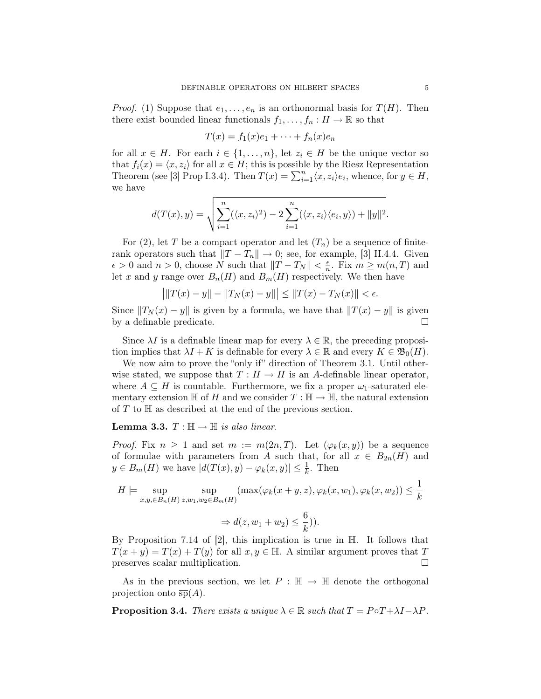*Proof.* (1) Suppose that  $e_1, \ldots, e_n$  is an orthonormal basis for  $T(H)$ . Then there exist bounded linear functionals  $f_1, \ldots, f_n : H \to \mathbb{R}$  so that

$$
T(x) = f_1(x)e_1 + \dots + f_n(x)e_n
$$

for all  $x \in H$ . For each  $i \in \{1, \ldots, n\}$ , let  $z_i \in H$  be the unique vector so that  $f_i(x) = \langle x, z_i \rangle$  for all  $x \in H$ ; this is possible by the Riesz Representation Theorem (see [3] Prop I.3.4). Then  $T(x) = \sum_{i=1}^{n} \langle x, z_i \rangle e_i$ , whence, for  $y \in H$ , we have

$$
d(T(x), y) = \sqrt{\sum_{i=1}^{n} (\langle x, z_i \rangle^2) - 2 \sum_{i=1}^{n} (\langle x, z_i \rangle \langle e_i, y \rangle) + ||y||^2}.
$$

For (2), let T be a compact operator and let  $(T_n)$  be a sequence of finiterank operators such that  $||T - T_n|| \to 0$ ; see, for example, [3] II.4.4. Given  $\epsilon > 0$  and  $n > 0$ , choose N such that  $||T - T_N|| < \frac{\epsilon}{n}$  $\frac{\epsilon}{n}$ . Fix  $m \geq m(n,T)$  and let x and y range over  $B_n(H)$  and  $B_m(H)$  respectively. We then have

$$
\left| \|T(x) - y\| - \|T_N(x) - y\| \right| \le \|T(x) - T_N(x)\| < \epsilon.
$$

Since  $||T_N(x) - y||$  is given by a formula, we have that  $||T(x) - y||$  is given by a definable predicate.

Since  $\lambda I$  is a definable linear map for every  $\lambda \in \mathbb{R}$ , the preceding proposition implies that  $\lambda I + K$  is definable for every  $\lambda \in \mathbb{R}$  and every  $K \in \mathfrak{B}_0(H)$ .

We now aim to prove the "only if" direction of Theorem 3.1. Until otherwise stated, we suppose that  $T : H \to H$  is an A-definable linear operator, where  $A \subseteq H$  is countable. Furthermore, we fix a proper  $\omega_1$ -saturated elementary extension  $\mathbb H$  of H and we consider  $T : \mathbb H \to \mathbb H$ , the natural extension of  $T$  to  $\mathbb H$  as described at the end of the previous section.

**Lemma 3.3.**  $T : \mathbb{H} \to \mathbb{H}$  is also linear.

*Proof.* Fix  $n \geq 1$  and set  $m := m(2n, T)$ . Let  $(\varphi_k(x, y))$  be a sequence of formulae with parameters from A such that, for all  $x \in B_{2n}(H)$  and  $y \in B_m(H)$  we have  $|d(T(x), y) - \varphi_k(x, y)| \leq \frac{1}{k}$ . Then

$$
H \models \sup_{x,y,\in B_n(H)} \sup_{z,w_1,w_2 \in B_m(H)} (\max(\varphi_k(x+y,z),\varphi_k(x,w_1),\varphi_k(x,w_2)) \le \frac{1}{k}
$$

$$
\Rightarrow d(z,w_1+w_2) \le \frac{6}{k}).
$$

By Proposition 7.14 of  $|2|$ , this implication is true in  $\mathbb{H}$ . It follows that  $T(x + y) = T(x) + T(y)$  for all  $x, y \in \mathbb{H}$ . A similar argument proves that T preserves scalar multiplication.

As in the previous section, we let  $P : \mathbb{H} \to \mathbb{H}$  denote the orthogonal projection onto  $\overline{sp}(A)$ .

**Proposition 3.4.** There exists a unique  $\lambda \in \mathbb{R}$  such that  $T = P \circ T + \lambda I - \lambda P$ .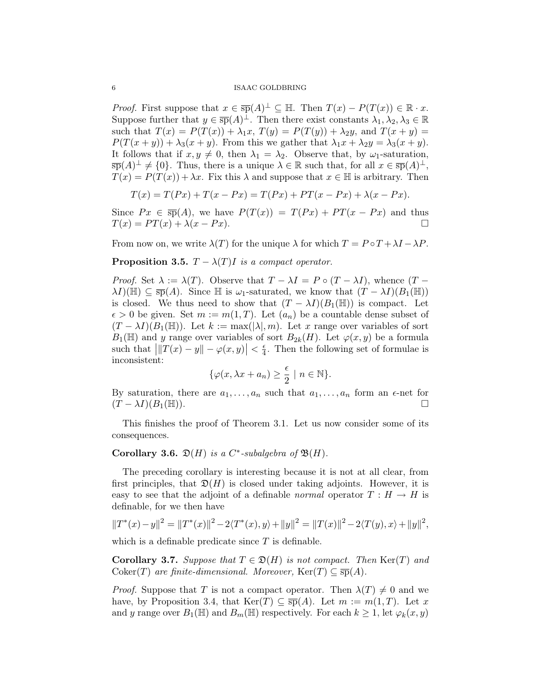*Proof.* First suppose that  $x \in \overline{\text{sp}}(A)^{\perp} \subseteq \mathbb{H}$ . Then  $T(x) - P(T(x)) \in \mathbb{R} \cdot x$ . Suppose further that  $y \in \overline{\text{sp}}(A)^{\perp}$ . Then there exist constants  $\lambda_1, \lambda_2, \lambda_3 \in \mathbb{R}$ such that  $T(x) = P(T(x)) + \lambda_1 x$ ,  $T(y) = P(T(y)) + \lambda_2 y$ , and  $T(x + y) =$  $P(T(x + y)) + \lambda_3(x + y)$ . From this we gather that  $\lambda_1 x + \lambda_2 y = \lambda_3(x + y)$ . It follows that if  $x, y \neq 0$ , then  $\lambda_1 = \lambda_2$ . Observe that, by  $\omega_1$ -saturation,  $\overline{\text{sp}}(A)^{\perp} \neq \{0\}.$  Thus, there is a unique  $\lambda \in \mathbb{R}$  such that, for all  $x \in \overline{\text{sp}}(A)^{\perp}$ ,  $T(x) = P(T(x)) + \lambda x$ . Fix this  $\lambda$  and suppose that  $x \in \mathbb{H}$  is arbitrary. Then

$$
T(x) = T(Px) + T(x - Px) = T(Px) + PT(x - Px) + \lambda(x - Px).
$$

Since  $Px \in \overline{\text{sp}}(A)$ , we have  $P(T(x)) = T(Px) + PT(x - Px)$  and thus  $T(x) = PT(x) + \lambda(x - Px).$ 

From now on, we write  $\lambda(T)$  for the unique  $\lambda$  for which  $T = P \circ T + \lambda I - \lambda P$ .

**Proposition 3.5.**  $T - \lambda(T)I$  is a compact operator.

*Proof.* Set  $\lambda := \lambda(T)$ . Observe that  $T - \lambda I = P \circ (T - \lambda I)$ , whence  $(T \lambda I)(\mathbb{H}) \subseteq \overline{\text{sp}}(A)$ . Since  $\mathbb H$  is  $\omega_1$ -saturated, we know that  $(T - \lambda I)(B_1(\mathbb{H}))$ is closed. We thus need to show that  $(T - \lambda I)(B_1(\mathbb{H}))$  is compact. Let  $\epsilon > 0$  be given. Set  $m := m(1, T)$ . Let  $(a_n)$  be a countable dense subset of  $(T - \lambda I)(B_1(\mathbb{H}))$ . Let  $k := \max(|\lambda|, m)$ . Let x range over variables of sort  $B_1(\mathbb{H})$  and y range over variables of sort  $B_{2k}(H)$ . Let  $\varphi(x, y)$  be a formula such that  $\left| \|T(x) - y\| - \varphi(x, y) \right| < \frac{\epsilon}{4}$  $\frac{\epsilon}{4}$ . Then the following set of formulae is inconsistent:

$$
\{\varphi(x,\lambda x + a_n) \ge \frac{\epsilon}{2} \mid n \in \mathbb{N}\}.
$$

By saturation, there are  $a_1, \ldots, a_n$  such that  $a_1, \ldots, a_n$  form an  $\epsilon$ -net for  $(T - \lambda I)(B_1(\mathbb{H}))$ .

This finishes the proof of Theorem 3.1. Let us now consider some of its consequences.

# Corollary 3.6.  $\mathfrak{D}(H)$  is a C<sup>\*</sup>-subalgebra of  $\mathfrak{B}(H)$ .

The preceding corollary is interesting because it is not at all clear, from first principles, that  $\mathfrak{D}(H)$  is closed under taking adjoints. However, it is easy to see that the adjoint of a definable normal operator  $T : H \to H$  is definable, for we then have

$$
||T^*(x) - y||^2 = ||T^*(x)||^2 - 2\langle T^*(x), y \rangle + ||y||^2 = ||T(x)||^2 - 2\langle T(y), x \rangle + ||y||^2,
$$

which is a definable predicate since  $T$  is definable.

**Corollary 3.7.** Suppose that  $T \in \mathfrak{D}(H)$  is not compact. Then  $\text{Ker}(T)$  and Coker(T) are finite-dimensional. Moreover,  $\text{Ker}(T) \subseteq \overline{\text{sp}}(A)$ .

*Proof.* Suppose that T is not a compact operator. Then  $\lambda(T) \neq 0$  and we have, by Proposition 3.4, that  $\text{Ker}(T) \subseteq \overline{\text{sp}}(A)$ . Let  $m := m(1, T)$ . Let x and y range over  $B_1(\mathbb{H})$  and  $B_m(\mathbb{H})$  respectively. For each  $k \geq 1$ , let  $\varphi_k(x, y)$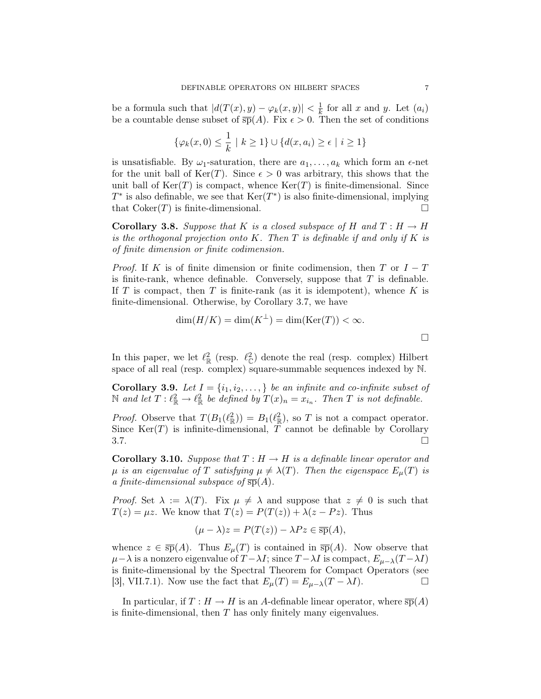be a formula such that  $|d(T(x), y) - \varphi_k(x, y)| < \frac{1}{k}$  $\frac{1}{k}$  for all x and y. Let  $(a_i)$ be a countable dense subset of  $\overline{sp}(A)$ . Fix  $\epsilon > 0$ . Then the set of conditions

$$
\{\varphi_k(x,0)\leq \frac{1}{k} \mid k\geq 1\} \cup \{d(x,a_i)\geq \epsilon \mid i\geq 1\}
$$

is unsatisfiable. By  $\omega_1$ -saturation, there are  $a_1, \ldots, a_k$  which form an  $\epsilon$ -net for the unit ball of  $\text{Ker}(T)$ . Since  $\epsilon > 0$  was arbitrary, this shows that the unit ball of  $\text{Ker}(T)$  is compact, whence  $\text{Ker}(T)$  is finite-dimensional. Since  $T^*$  is also definable, we see that  $\text{Ker}(T^*)$  is also finite-dimensional, implying that  $Coker(T)$  is finite-dimensional.

**Corollary 3.8.** Suppose that K is a closed subspace of H and  $T : H \to H$ is the orthogonal projection onto K. Then  $T$  is definable if and only if  $K$  is of finite dimension or finite codimension.

*Proof.* If K is of finite dimension or finite codimension, then T or  $I - T$ is finite-rank, whence definable. Conversely, suppose that  $T$  is definable. If T is compact, then T is finite-rank (as it is idempotent), whence  $K$  is finite-dimensional. Otherwise, by Corollary 3.7, we have

$$
\dim(H/K) = \dim(K^{\perp}) = \dim(\text{Ker}(T)) < \infty.
$$

In this paper, we let  $\ell_{\mathbb{R}}^2$  (resp.  $\ell_{\mathbb{C}}^2$ ) denote the real (resp. complex) Hilbert space of all real (resp. complex) square-summable sequences indexed by N.

Corollary 3.9. Let  $I = \{i_1, i_2, \ldots, \}$  be an infinite and co-infinite subset of N and let  $T: \ell^2_{\mathbb{R}} \to \ell^2_{\mathbb{R}}$  be defined by  $T(x)_n = x_{i_n}$ . Then T is not definable.

*Proof.* Observe that  $T(B_1(\ell_{\mathbb{R}}^2)) = B_1(\ell_{\mathbb{R}}^2)$ , so T is not a compact operator. Since  $\text{Ker}(T)$  is infinite-dimensional, T cannot be definable by Corollary  $3.7.$ 

**Corollary 3.10.** Suppose that  $T : H \to H$  is a definable linear operator and  $\mu$  is an eigenvalue of T satisfying  $\mu \neq \lambda(T)$ . Then the eigenspace  $E_{\mu}(T)$  is a finite-dimensional subspace of  $\overline{sp}(A)$ .

*Proof.* Set  $\lambda := \lambda(T)$ . Fix  $\mu \neq \lambda$  and suppose that  $z \neq 0$  is such that  $T(z) = \mu z$ . We know that  $T(z) = P(T(z)) + \lambda (z - P z)$ . Thus

$$
(\mu - \lambda)z = P(T(z)) - \lambda Pz \in \overline{\text{sp}}(A),
$$

whence  $z \in \overline{\text{sp}}(A)$ . Thus  $E_{\mu}(T)$  is contained in  $\overline{\text{sp}}(A)$ . Now observe that  $\mu-\lambda$  is a nonzero eigenvalue of  $T-\lambda I$ ; since  $T-\lambda I$  is compact,  $E_{\mu-\lambda}(T-\lambda I)$ is finite-dimensional by the Spectral Theorem for Compact Operators (see [3], VII.7.1). Now use the fact that  $E_{\mu}(T) = E_{\mu-\lambda}(T - \lambda I)$ .

In particular, if  $T : H \to H$  is an A-definable linear operator, where  $\overline{sp}(A)$ is finite-dimensional, then T has only finitely many eigenvalues.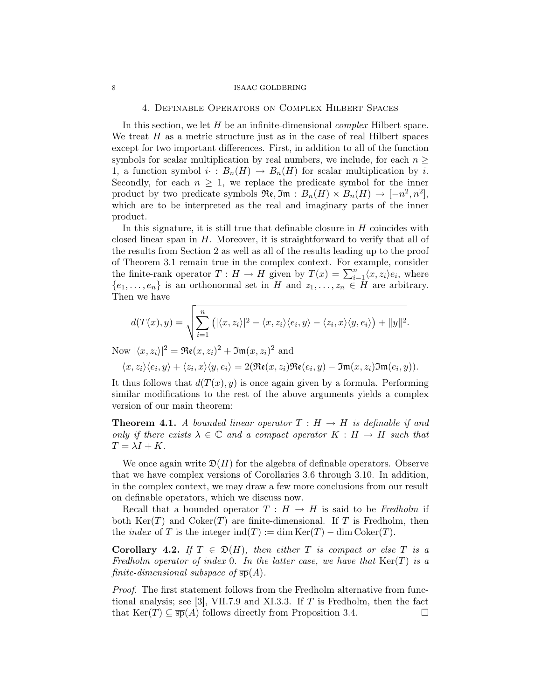## 4. Definable Operators on Complex Hilbert Spaces

In this section, we let  $H$  be an infinite-dimensional *complex* Hilbert space. We treat  $H$  as a metric structure just as in the case of real Hilbert spaces except for two important differences. First, in addition to all of the function symbols for scalar multiplication by real numbers, we include, for each  $n \geq$ 1, a function symbol  $i \cdot : B_n(H) \to B_n(H)$  for scalar multiplication by i. Secondly, for each  $n \geq 1$ , we replace the predicate symbol for the inner product by two predicate symbols  $\Re\mathfrak{e}, \Im\mathfrak{m} : B_n(H) \times B_n(H) \to [-n^2, n^2],$ which are to be interpreted as the real and imaginary parts of the inner product.

In this signature, it is still true that definable closure in  $H$  coincides with closed linear span in  $H$ . Moreover, it is straightforward to verify that all of the results from Section 2 as well as all of the results leading up to the proof of Theorem 3.1 remain true in the complex context. For example, consider the finite-rank operator  $T: H \to H$  given by  $T(x) = \sum_{i=1}^{n} \langle x, z_i \rangle e_i$ , where  $\{e_1, \ldots, e_n\}$  is an orthonormal set in H and  $z_1, \ldots, z_n \in H$  are arbitrary. Then we have

$$
d(T(x), y) = \sqrt{\sum_{i=1}^{n} (|\langle x, z_i \rangle|^2 - \langle x, z_i \rangle \langle e_i, y \rangle - \langle z_i, x \rangle \langle y, e_i \rangle) + ||y||^2}.
$$

Now  $|\langle x, z_i \rangle|^2 = \Re(z, z_i)^2 + \Im(z, z_i)^2$  and

$$
\langle x, z_i \rangle \langle e_i, y \rangle + \langle z_i, x \rangle \langle y, e_i \rangle = 2(\Re(\mathfrak{e}(x, z_i)) \Re(\mathfrak{e}(e_i, y) - \Im(\mathfrak{m}(x, z_i)) \Im(\mathfrak{m}(e_i, y))).
$$

It thus follows that  $d(T(x), y)$  is once again given by a formula. Performing similar modifications to the rest of the above arguments yields a complex version of our main theorem:

**Theorem 4.1.** A bounded linear operator  $T : H \to H$  is definable if and only if there exists  $\lambda \in \mathbb{C}$  and a compact operator  $K : H \to H$  such that  $T = \lambda I + K.$ 

We once again write  $\mathfrak{D}(H)$  for the algebra of definable operators. Observe that we have complex versions of Corollaries 3.6 through 3.10. In addition, in the complex context, we may draw a few more conclusions from our result on definable operators, which we discuss now.

Recall that a bounded operator  $T : H \to H$  is said to be Fredholm if both  $\text{Ker}(T)$  and  $\text{Coker}(T)$  are finite-dimensional. If T is Fredholm, then the *index* of T is the integer  $\text{ind}(T) := \dim \text{Ker}(T) - \dim \text{Coker}(T)$ .

Corollary 4.2. If  $T \in \mathfrak{D}(H)$ , then either T is compact or else T is a Fredholm operator of index 0. In the latter case, we have that  $\text{Ker}(T)$  is a finite-dimensional subspace of  $\overline{sp}(A)$ .

Proof. The first statement follows from the Fredholm alternative from functional analysis; see [3], VII.7.9 and XI.3.3. If  $T$  is Fredholm, then the fact that  $\text{Ker}(T) \subseteq \overline{\text{sp}}(A)$  follows directly from Proposition 3.4.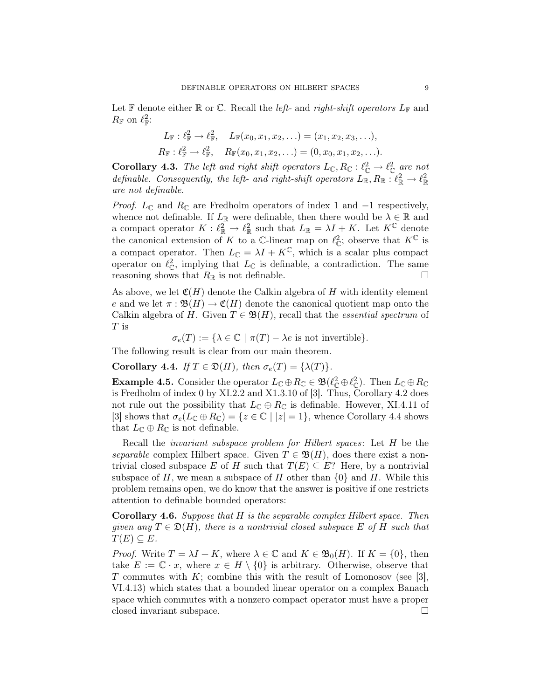Let  $\mathbb F$  denote either  $\mathbb R$  or  $\mathbb C$ . Recall the *left*- and *right-shift operators*  $L_{\mathbb F}$  and  $R_{\mathbb{F}}$  on  $\ell_{\mathbb{F}}^2$ :

$$
L_{\mathbb{F}}: \ell_{\mathbb{F}}^2 \to \ell_{\mathbb{F}}^2, \quad L_{\mathbb{F}}(x_0, x_1, x_2, \ldots) = (x_1, x_2, x_3, \ldots),
$$
  

$$
R_{\mathbb{F}}: \ell_{\mathbb{F}}^2 \to \ell_{\mathbb{F}}^2, \quad R_{\mathbb{F}}(x_0, x_1, x_2, \ldots) = (0, x_0, x_1, x_2, \ldots).
$$

**Corollary 4.3.** The left and right shift operators  $L_{\mathbb{C}}$ ,  $R_{\mathbb{C}} : \ell_{\mathbb{C}}^2 \to \ell_{\mathbb{C}}^2$  are not definable. Consequently, the left- and right-shift operators  $L_{\mathbb{R}}, R_{\mathbb{R}} : \ell_{\mathbb{R}}^2 \to \ell_{\mathbb{R}}^2$ are not definable.

*Proof.*  $L_{\mathbb{C}}$  and  $R_{\mathbb{C}}$  are Fredholm operators of index 1 and  $-1$  respectively, whence not definable. If  $L_{\mathbb{R}}$  were definable, then there would be  $\lambda \in \mathbb{R}$  and a compact operator  $K: \ell_{\mathbb{R}}^2 \to \ell_{\mathbb{R}}^2$  such that  $L_{\mathbb{R}} = \lambda I + K$ . Let  $K^{\mathbb{C}}$  denote the canonical extension of K to a C-linear map on  $\ell_{\mathbb{C}}^2$ ; observe that  $K^{\mathbb{C}}$  is a compact operator. Then  $L_{\mathbb{C}} = \lambda I + K^{\mathbb{C}}$ , which is a scalar plus compact operator on  $\ell_{\mathbb{C}}^2$ , implying that  $L_{\mathbb{C}}$  is definable, a contradiction. The same reasoning shows that  $R_{\mathbb{R}}$  is not definable.

As above, we let  $\mathfrak{C}(H)$  denote the Calkin algebra of H with identity element e and we let  $\pi : \mathfrak{B}(H) \to \mathfrak{C}(H)$  denote the canonical quotient map onto the Calkin algebra of H. Given  $T \in \mathfrak{B}(H)$ , recall that the *essential spectrum* of  $T$  is

 $\sigma_e(T) := {\lambda \in \mathbb{C} \mid \pi(T) - \lambda e \text{ is not invertible}}.$ 

The following result is clear from our main theorem.

Corollary 4.4. If  $T \in \mathfrak{D}(H)$ , then  $\sigma_e(T) = {\lambda(T)}$ .

**Example 4.5.** Consider the operator  $L_{\mathbb{C}} \oplus R_{\mathbb{C}} \in \mathfrak{B}(\ell_{\mathbb{C}}^2 \oplus \ell_{\mathbb{C}}^2)$ . Then  $L_{\mathbb{C}} \oplus R_{\mathbb{C}}$ is Fredholm of index 0 by XI.2.2 and X1.3.10 of [3]. Thus, Corollary 4.2 does not rule out the possibility that  $L_{\mathbb{C}} \oplus R_{\mathbb{C}}$  is definable. However, XI.4.11 of [3] shows that  $\sigma_e(L_{\mathbb{C}} \oplus R_{\mathbb{C}}) = \{z \in \mathbb{C} \mid |z| = 1\}$ , whence Corollary 4.4 shows that  $L_{\mathbb{C}} \oplus R_{\mathbb{C}}$  is not definable.

Recall the invariant subspace problem for Hilbert spaces: Let H be the separable complex Hilbert space. Given  $T \in \mathfrak{B}(H)$ , does there exist a nontrivial closed subspace E of H such that  $T(E) \subseteq E$ ? Here, by a nontrivial subspace of H, we mean a subspace of H other than  $\{0\}$  and H. While this problem remains open, we do know that the answer is positive if one restricts attention to definable bounded operators:

Corollary 4.6. Suppose that H is the separable complex Hilbert space. Then given any  $T \in \mathfrak{D}(H)$ , there is a nontrivial closed subspace E of H such that  $T(E) \subseteq E$ .

*Proof.* Write  $T = \lambda I + K$ , where  $\lambda \in \mathbb{C}$  and  $K \in \mathfrak{B}_0(H)$ . If  $K = \{0\}$ , then take  $E := \mathbb{C} \cdot x$ , where  $x \in H \setminus \{0\}$  is arbitrary. Otherwise, observe that T commutes with  $K$ ; combine this with the result of Lomonosov (see [3], VI.4.13) which states that a bounded linear operator on a complex Banach space which commutes with a nonzero compact operator must have a proper closed invariant subspace.  $\hfill \square$